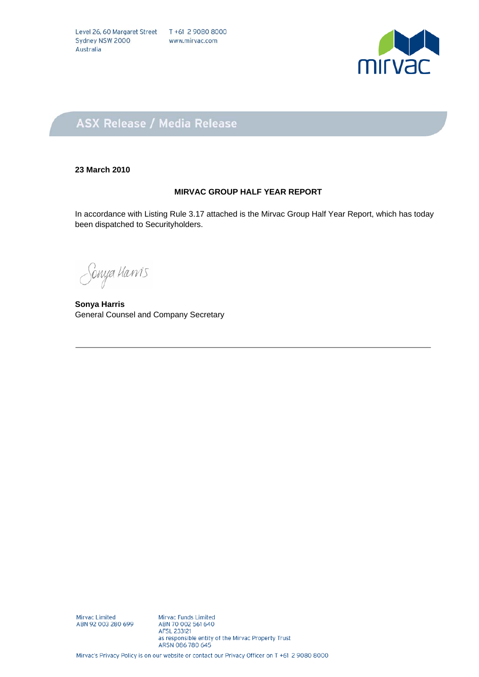

### **ASX Release / Media Release**

#### **23 March 2010**

#### **MIRVAC GROUP HALF YEAR REPORT**

In accordance with Listing Rule 3.17 attached is the Mirvac Group Half Year Report, which has today been dispatched to Securityholders.

Sonya Hawis

**Sonya Harris** General Counsel and Company Secretary

Mirvac Limited<br>ABN 92 003 280 699

Mirvac Funds Limited ABN 70 002 561 640 AFSL 233121 as responsible entity of the Mirvac Property Trust ARSN 086 780 645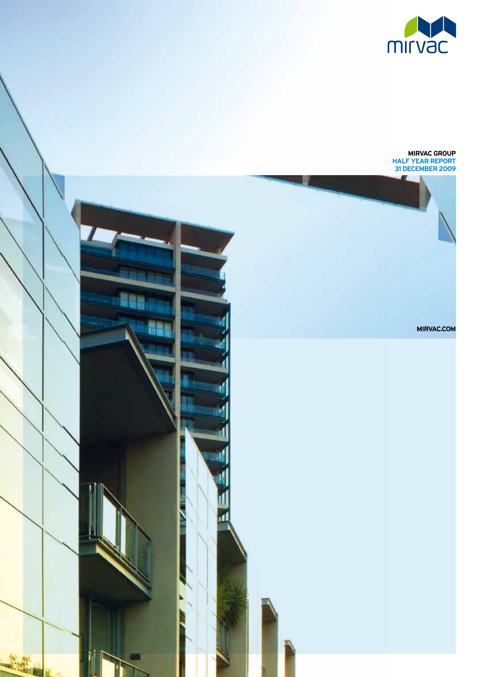

#### **MIRVAC GROUP half year report 31 december 2009**

**MIRVAC.com**

NS

4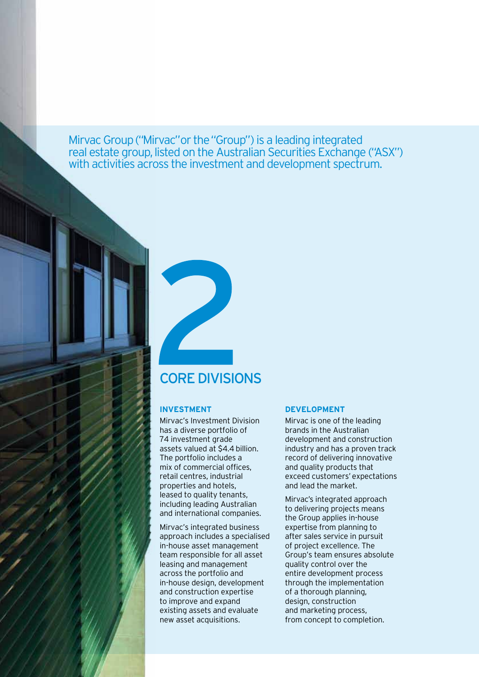Mirvac Group ("Mirvac" or the "Group") is a leading integrated real estate group, listed on the Australian Securities Exchange ("ASX") with activities across the investment and development spectrum.

## core divisions

#### **Investment**

Mirvac's Investment Division has a diverse portfolio of 74 investment grade assets valued at \$4.4 billion. The portfolio includes a mix of commercial offices, retail centres, industrial properties and hotels, leased to quality tenants, including leading Australian and international companies.

Mirvac's integrated business approach includes a specialised in-house asset management team responsible for all asset leasing and management across the portfolio and in-house design, development and construction expertise to improve and expand existing assets and evaluate new asset acquisitions.

#### **Development**

Mirvac is one of the leading brands in the Australian development and construction industry and has a proven track record of delivering innovative and quality products that exceed customers' expectations and lead the market.

Mirvac's integrated approach to delivering projects means the Group applies in-house expertise from planning to after sales service in pursuit of project excellence. The Group's team ensures absolute quality control over the entire development process through the implementation of a thorough planning, design, construction and marketing process, from concept to completion.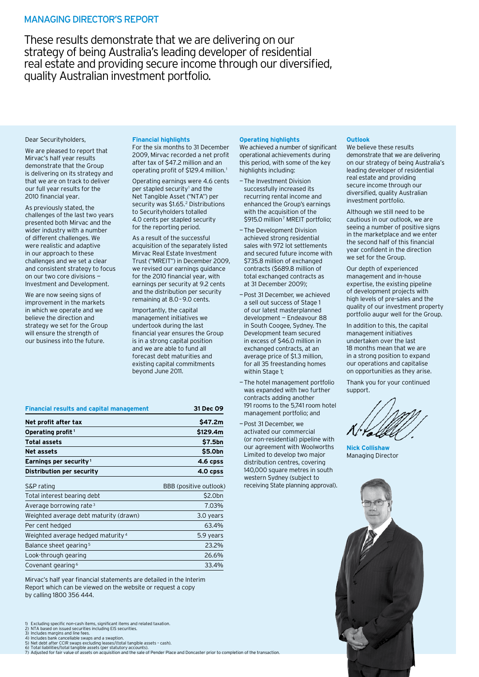#### Managing Director's Report

These results demonstrate that we are delivering on our strategy of being Australia's leading developer of residential real estate and providing secure income through our diversified, quality Australian investment portfolio.

#### Dear Securityholders,

We are pleased to report that Mirvac's half year results demonstrate that the Group is delivering on its strategy and that we are on track to deliver our full year results for the 2010 financial year.

As previously stated, the challenges of the last two years presented both Mirvac and the wider industry with a number of different challenges. We were realistic and adaptive in our approach to these challenges and we set a clear and consistent strategy to focus on our two core divisions — Investment and Development.

We are now seeing signs of improvement in the markets in which we operate and we believe the direction and strategy we set for the Group will ensure the strength of our business into the future.

#### **Financial highlights**

For the six months to 31 December 2009, Mirvac recorded a net profit after tax of \$47.2 million and an operating profit of \$129.4 million.<sup>1</sup>

Operating earnings were 4.6 cents per stapled security<sup>1</sup> and the Net Tangible Asset ("NTA") per security was \$1.65.<sup>2</sup> Distributions to Securityholders totalled 4.0 cents per stapled security for the reporting period.

As a result of the successful acquisition of the separately listed Mirvac Real Estate Investment Trust ("MREIT") in December 2009, we revised our earnings guidance for the 2010 financial year, with earnings per security at 9.2 cents and the distribution per security remaining at 8.0–9.0 cents.

Importantly, the capital management initiatives we undertook during the last financial year ensures the Group is in a strong capital position and we are able to fund all forecast debt maturities and existing capital commitments beyond June 2011.

| Net profit after tax                   | \$47.2m                |
|----------------------------------------|------------------------|
| Operating profit <sup>1</sup>          | \$129.4m               |
| <b>Total assets</b>                    | \$7.5bn                |
| Net assets                             | \$5.0bn                |
| Earnings per security <sup>1</sup>     | 4.6 cpss               |
| Distribution per security              | 4.0 cpss               |
| S&P rating                             | BBB (positive outlook) |
| Total interest bearing debt            | \$2.0bn                |
| Average borrowing rate <sup>3</sup>    | 7.03%                  |
| Weighted average debt maturity (drawn) | 3.0 years              |
|                                        |                        |

**Financial results and capital management 31 Dec 09**

#### Per cent hedged 63.4% Weighted average hedged maturity  $4$  5.9 years Balance sheet gearing<sup>5</sup> 23.2% Look-through gearing 26.6% Covenant gearing 6 33.4%

Mirvac's half year financial statements are detailed in the Interim Report which can be viewed on the website or request a copy by calling 1800 356 444.

- 
- 
- 2) NTA based on issued securities including EIS securities.<br>3) Includes margins and line fees.<br>4) Includes bank cancellable swaps and a swaption.<br>5) Net debt after CCIR swaps excluding leases/(total tangible assets cash)

#### **Operating highlights**

We achieved a number of significant operational achievements during this period, with some of the key highlights including:

- —The Investment Division successfully increased its recurring rental income and enhanced the Group's earnings with the acquisition of the \$915.0 million<sup>7</sup> MREIT portfolio;
- —The Development Division achieved strong residential sales with 972 lot settlements and secured future income with \$735.8 million of exchanged contracts (\$689.8 million of total exchanged contracts as at 31 December 2009);
- —Post 31 December, we achieved a sell out success of Stage 1 of our latest masterplanned development — Endeavour 88 in South Coogee, Sydney. The Development team secured in excess of \$46.0 million in exchanged contracts, at an average price of \$1.3 million, for all 35 freestanding homes within Stage 1;
- —The hotel management portfolio was expanded with two further contracts adding another 191 rooms to the 5,741 room hotel management portfolio; and
- —Post 31 December, we activated our commercial (or non-residential) pipeline with our agreement with Woolworths Limited to develop two major distribution centres, covering 140,000 square metres in south western Sydney (subject to receiving State planning approval).

#### **Outlook**

We believe these results demonstrate that we are delivering on our strategy of being Australia's leading developer of residential real estate and providing secure income through our diversified, quality Australian investment portfolio.

Although we still need to be cautious in our outlook, we are seeing a number of positive signs in the marketplace and we enter the second half of this financial year confident in the direction we set for the Group.

Our depth of experienced management and in-house expertise, the existing pipeline of development projects with high levels of pre-sales and the quality of our investment property portfolio augur well for the Group.

In addition to this, the capital management initiatives undertaken over the last 18 months mean that we are in a strong position to expand our operations and capitalise on opportunities as they arise.

Thank you for your continued support.

**Nick Collishaw** Managing Director



<sup>1)</sup> Excluding specific non-cash items, significant items and related taxation.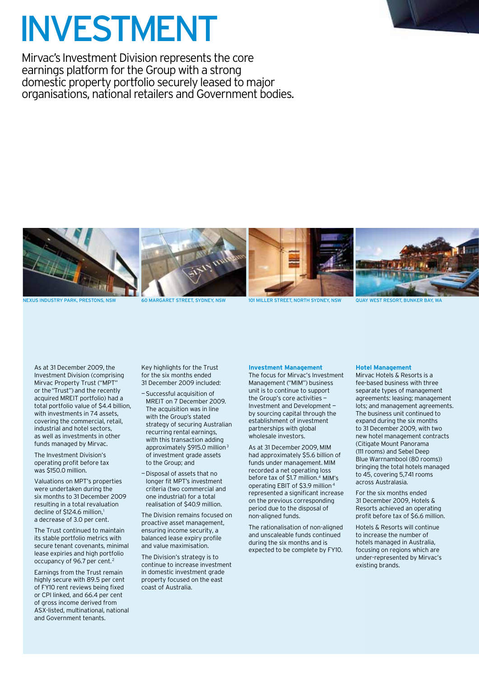## Investment

Mirvac's Investment Division represents the core earnings platform for the Group with a strong domestic property portfolio securely leased to major organisations, national retailers and Government bodies.



As at 31 December 2009, the Investment Division (comprising Mirvac Property Trust ("MPT" or the "Trust") and the recently acquired MREIT portfolio) had a total portfolio value of \$4.4 billion, with investments in 74 assets, covering the commercial, retail, industrial and hotel sectors, as well as investments in other funds managed by Mirvac.

The Investment Division's operating profit before tax was \$150.0 million.

Valuations on MPT's properties were undertaken during the six months to 31 December 2009 resulting in a total revaluation decline of \$124.6 million,<sup>1</sup> a decrease of 3.0 per cent.

The Trust continued to maintain its stable portfolio metrics with secure tenant covenants, minimal lease expiries and high portfolio occupancy of 96.7 per cent.<sup>2</sup>

Earnings from the Trust remain highly secure with 89.5 per cent of FY10 rent reviews being fixed or CPI linked, and 66.4 per cent of gross income derived from ASX-listed, multinational, national and Government tenants.

Key highlights for the Trust for the six months ended 31 December 2009 included:

- —Successful acquisition of MREIT on 7 December 2009. The acquisition was in line with the Group's stated strategy of securing Australian recurring rental earnings, with this transaction adding approximately \$915.0 million<sup>3</sup> of investment grade assets to the Group; and
- —Disposal of assets that no longer fit MPT's investment criteria (two commercial and one industrial) for a total realisation of \$40.9 million.

The Division remains focused on proactive asset management, ensuring income security, a balanced lease expiry profile and value maximisation.

The Division's strategy is to continue to increase investment in domestic investment grade property focused on the east coast of Australia.

#### **Investment Management**

The focus for Mirvac's Investment Management ("MIM") business unit is to continue to support the Group's core activities -Investment and Development by sourcing capital through the establishment of investment partnerships with global wholesale investors.

As at 31 December 2009, MIM had approximately \$5.6 billion of funds under management. MIM recorded a net operating loss before tax of \$1.7 million.<sup>4</sup> MIM's operating EBIT of \$3.9 million 4 represented a significant increase on the previous corresponding period due to the disposal of non-aligned funds.

The rationalisation of non-aligned and unscaleable funds continued during the six months and is expected to be complete by FY10.

#### **Hotel Management**

Mirvac Hotels & Resorts is a fee-based business with three separate types of management agreements: leasing; management lots; and management agreements. The business unit continued to expand during the six months to 31 December 2009, with two new hotel management contracts (Citigate Mount Panorama (111 rooms) and Sebel Deep Blue Warrnambool (80 rooms)) bringing the total hotels managed to 45, covering 5,741 rooms across Australasia.

For the six months ended 31 December 2009, Hotels & Resorts achieved an operating profit before tax of \$6.6 million.

Hotels & Resorts will continue to increase the number of hotels managed in Australia, focusing on regions which are under-represented by Mirvac's existing brands.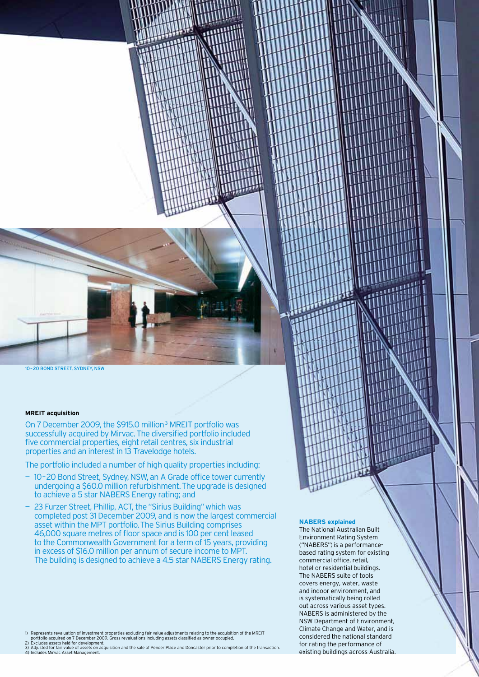10 – 20 bond street, sydney, NSW

#### **MREIT acquisition**

On 7 December 2009, the \$915.0 million 3 MREIT portfolio was successfully acquired by Mirvac. The diversified portfolio included five commercial properties, eight retail centres, six industrial properties and an interest in 13 Travelodge hotels.

The portfolio included a number of high quality properties including:

- 10 20 Bond Street, Sydney, NSW, an A Grade office tower currently undergoing a \$60.0 million refurbishment. The upgrade is designed to achieve a 5 star NABERS Energy rating; and
- 23 Furzer Street, Phillip, ACT, the "Sirius Building" which was completed post 31 December 2009, and is now the largest commercial asset within the MPT portfolio. The Sirius Building comprises 46,000 square metres of floor space and is 100 per cent leased to the Commonwealth Government for a term of 15 years, providing in excess of \$16.0 million per annum of secure income to MPT. The building is designed to achieve a 4.5 star NABERS Energy rating.

#### **NABERS explained**

The National Australian Built Environment Rating System ("NABERS") is a performancebased rating system for existing commercial office, retail, hotel or residential buildings. The NABERS suite of tools covers energy, water, waste and indoor environment, and is systematically being rolled out across various asset types. NABERS is administered by the NSW Department of Environment, Climate Change and Water, and is considered the national standard for rating the performance of existing buildings across Australia.

- 
- 
- 1) Represents revaluation of investment properties excluding fair value adjustments relating to the acquisition of the MREIT<br>2) Excludies assets held for developr actions Gross revaluations including assets classified as o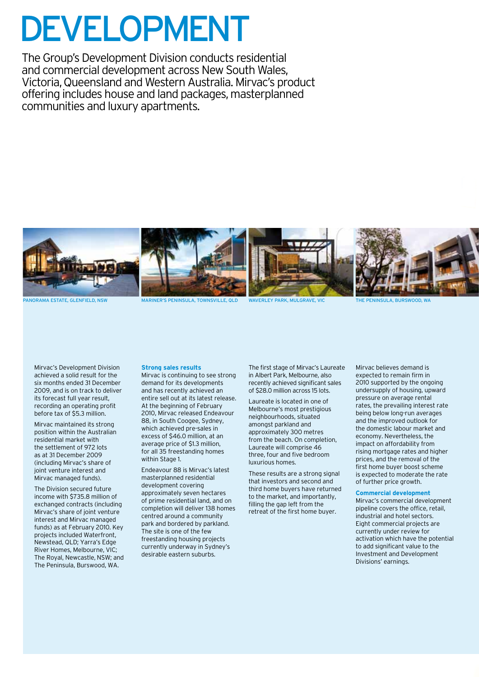# **DEVELOPMENT**

The Group's Development Division conducts residential and commercial development across New South Wales, Victoria, Queensland and Western Australia. Mirvac's product offering includes house and land packages, masterplanned communities and luxury apartments.



PANORAMA ESTATE, GLENFIELD, NSW MARINER'S PENINSULA, TOWNSVILLE, QLD WAVERLEY PARK, MULGRAVE, VIC

Mirvac's Development Division achieved a solid result for the six months ended 31 December 2009, and is on track to deliver its forecast full year result, recording an operating profit before tax of \$5.3 million.

Mirvac maintained its strong position within the Australian residential market with the settlement of 972 lots as at 31 December 2009 (including Mirvac's share of joint venture interest and Mirvac managed funds).

The Division secured future income with \$735.8 million of exchanged contracts (including Mirvac's share of joint venture interest and Mirvac managed funds) as at February 2010. Key projects included Waterfront, Newstead, QLD; Yarra's Edge River Homes, Melbourne, VIC; The Royal, Newcastle, NSW; and The Peninsula, Burswood, WA.

#### **Strong sales results**

Mirvac is continuing to see strong demand for its developments and has recently achieved an entire sell out at its latest release. At the beginning of February 2010, Mirvac released Endeavour 88, in South Coogee, Sydney, which achieved pre-sales in excess of \$46.0 million, at an average price of \$1.3 million, for all 35 freestanding homes within Stage 1

Endeavour 88 is Mirvac's latest masterplanned residential development covering approximately seven hectares of prime residential land, and on completion will deliver 138 homes centred around a community park and bordered by parkland. The site is one of the few freestanding housing projects currently underway in Sydney's desirable eastern suburbs.

The first stage of Mirvac's Laureate in Albert Park, Melbourne, also recently achieved significant sales of \$28.0 million across 15 lots.

Laureate is located in one of Melbourne's most prestigious neighbourhoods, situated amongst parkland and approximately 300 metres from the beach. On completion, Laureate will comprise 46 three, four and five bedroom luxurious homes.

These results are a strong signal that investors and second and third home buyers have returned to the market, and importantly, filling the gap left from the retreat of the first home buyer.

Mirvac believes demand is expected to remain firm in 2010 supported by the ongoing undersupply of housing, upward pressure on average rental rates, the prevailing interest rate being below long-run averages and the improved outlook for the domestic labour market and economy. Nevertheless, the impact on affordability from rising mortgage rates and higher prices, and the removal of the first home buyer boost scheme is expected to moderate the rate of further price growth.

#### **Commercial development**

Mirvac's commercial development pipeline covers the office, retail, industrial and hotel sectors. Eight commercial projects are currently under review for activation which have the potential to add significant value to the Investment and Development Divisions' earnings.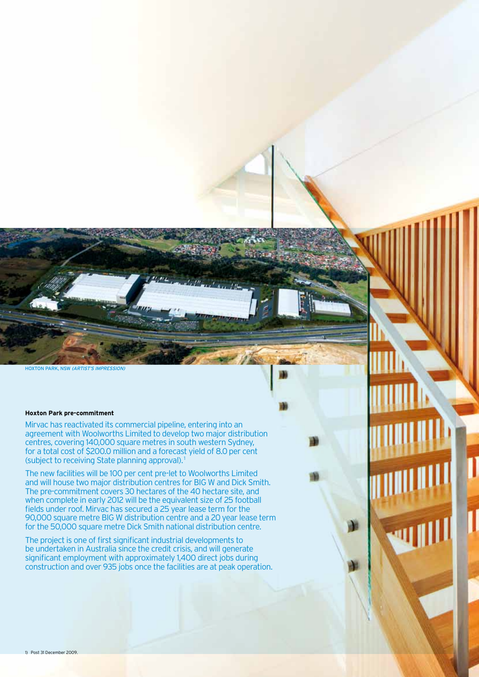hoxton park, NSW (artist's impression)

#### **Hoxton Park pre-commitment**

Mirvac has reactivated its commercial pipeline, entering into an agreement with Woolworths Limited to develop two major distribution centres, covering 140,000 square metres in south western Sydney, for a total cost of \$200.0 million and a forecast yield of 8.0 per cent (subject to receiving State planning approval). 1

The new facilities will be 100 per cent pre-let to Woolworths Limited and will house two major distribution centres for BIG W and Dick Smith. The pre-commitment covers 30 hectares of the 40 hectare site, and when complete in early 2012 will be the equivalent size of 25 football fields under roof. Mirvac has secured a 25 year lease term for the 90,000 square metre BIG W distribution centre and a 20 year lease term for the 50,000 square metre Dick Smith national distribution centre.

The project is one of first significant industrial developments to be undertaken in Australia since the credit crisis, and will generate significant employment with approximately 1,400 direct jobs during construction and over 935 jobs once the facilities are at peak operation.